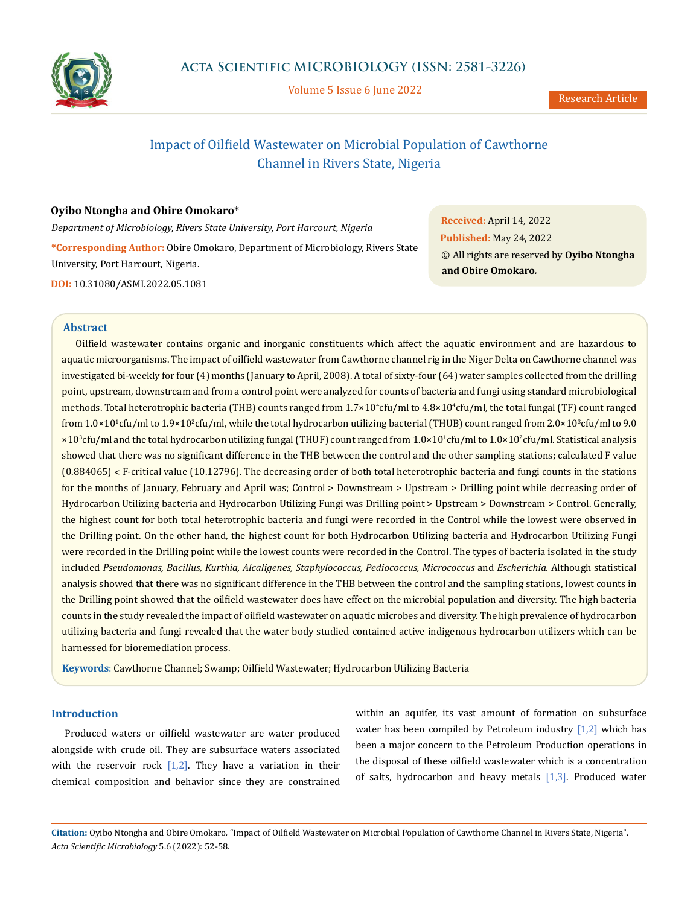

Volume 5 Issue 6 June 2022

# Impact of Oilfield Wastewater on Microbial Population of Cawthorne Channel in Rivers State, Nigeria

## **Oyibo Ntongha and Obire Omokaro\***

*Department of Microbiology, Rivers State University, Port Harcourt, Nigeria* **\*Corresponding Author:** Obire Omokaro, Department of Microbiology, Rivers State University, Port Harcourt, Nigeria. **DOI:** [10.31080/ASMI.2022.05.1081](http://actascientific.com/ASMI/pdf/ASMI-05-1081.pdf)

**Received:** April 14, 2022 **Published:** May 24, 2022 © All rights are reserved by **Oyibo Ntongha and Obire Omokaro***.*

# **Abstract**

Oilfield wastewater contains organic and inorganic constituents which affect the aquatic environment and are hazardous to aquatic microorganisms. The impact of oilfield wastewater from Cawthorne channel rig in the Niger Delta on Cawthorne channel was investigated bi-weekly for four (4) months (January to April, 2008). A total of sixty-four (64) water samples collected from the drilling point, upstream, downstream and from a control point were analyzed for counts of bacteria and fungi using standard microbiological methods. Total heterotrophic bacteria (THB) counts ranged from 1.7×10°cfu/ml to 4.8×10°cfu/ml, the total fungal (TF) count ranged from  $1.0\times10^1$ cfu/ml to  $1.9\times10^2$ cfu/ml, while the total hydrocarbon utilizing bacterial (THUB) count ranged from  $2.0\times10^3$ cfu/ml to  $9.0$ ×10<sup>3</sup> cfu/ml and the total hydrocarbon utilizing fungal (THUF) count ranged from 1.0×101 cfu/ml to 1.0×10<sup>2</sup> cfu/ml. Statistical analysis showed that there was no significant difference in the THB between the control and the other sampling stations; calculated F value (0.884065) ˂ F-critical value (10.12796). The decreasing order of both total heterotrophic bacteria and fungi counts in the stations for the months of January, February and April was; Control > Downstream > Upstream > Drilling point while decreasing order of Hydrocarbon Utilizing bacteria and Hydrocarbon Utilizing Fungi was Drilling point > Upstream > Downstream > Control. Generally, the highest count for both total heterotrophic bacteria and fungi were recorded in the Control while the lowest were observed in the Drilling point. On the other hand, the highest count for both Hydrocarbon Utilizing bacteria and Hydrocarbon Utilizing Fungi were recorded in the Drilling point while the lowest counts were recorded in the Control. The types of bacteria isolated in the study included *Pseudomonas, Bacillus, Kurthia, Alcaligenes, Staphylococcus, Pediococcus, Micrococcus* and *Escherichia.* Although statistical analysis showed that there was no significant difference in the THB between the control and the sampling stations, lowest counts in the Drilling point showed that the oilfield wastewater does have effect on the microbial population and diversity. The high bacteria counts in the study revealed the impact of oilfield wastewater on aquatic microbes and diversity. The high prevalence of hydrocarbon utilizing bacteria and fungi revealed that the water body studied contained active indigenous hydrocarbon utilizers which can be harnessed for bioremediation process.

**Keywords**: Cawthorne Channel; Swamp; Oilfield Wastewater; Hydrocarbon Utilizing Bacteria

# **Introduction**

Produced waters or oilfield wastewater are water produced alongside with crude oil. They are subsurface waters associated with the reservoir rock  $[1,2]$ . They have a variation in their chemical composition and behavior since they are constrained within an aquifer, its vast amount of formation on subsurface water has been compiled by Petroleum industry  $[1,2]$  which has been a major concern to the Petroleum Production operations in the disposal of these oilfield wastewater which is a concentration of salts, hydrocarbon and heavy metals  $[1,3]$ . Produced water

**Citation:** Oyibo Ntongha and Obire Omokaro*.* "Impact of Oilfield Wastewater on Microbial Population of Cawthorne Channel in Rivers State, Nigeria". *Acta Scientific Microbiology* 5.6 (2022): 52-58.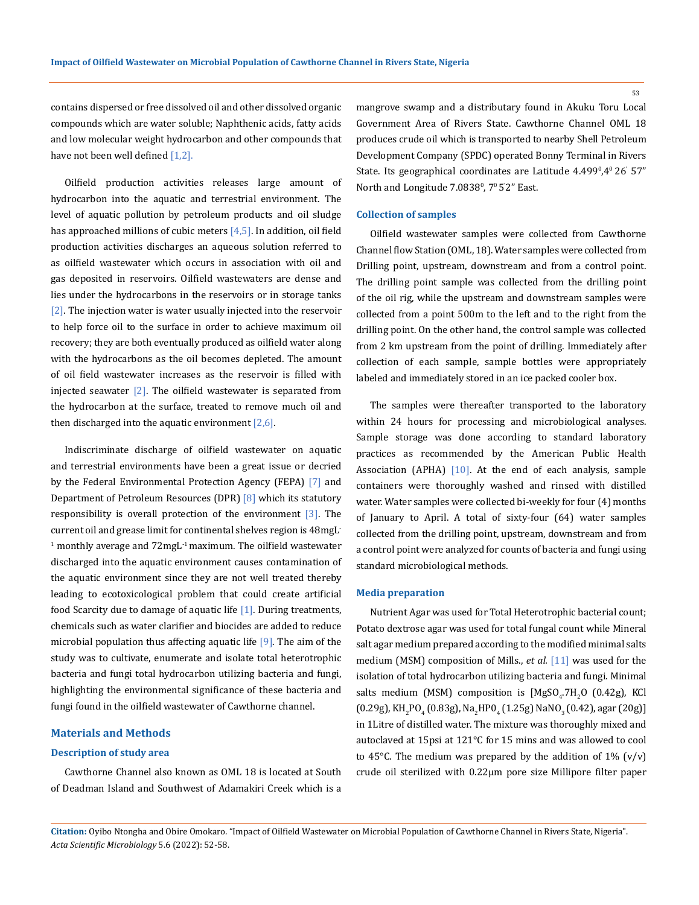contains dispersed or free dissolved oil and other dissolved organic compounds which are water soluble; Naphthenic acids, fatty acids and low molecular weight hydrocarbon and other compounds that have not been well defined [1,2].

Oilfield production activities releases large amount of hydrocarbon into the aquatic and terrestrial environment. The level of aquatic pollution by petroleum products and oil sludge has approached millions of cubic meters  $[4,5]$ . In addition, oil field production activities discharges an aqueous solution referred to as oilfield wastewater which occurs in association with oil and gas deposited in reservoirs. Oilfield wastewaters are dense and lies under the hydrocarbons in the reservoirs or in storage tanks [2]. The injection water is water usually injected into the reservoir to help force oil to the surface in order to achieve maximum oil recovery; they are both eventually produced as oilfield water along with the hydrocarbons as the oil becomes depleted. The amount of oil field wastewater increases as the reservoir is filled with injected seawater  $[2]$ . The oilfield wastewater is separated from the hydrocarbon at the surface, treated to remove much oil and then discharged into the aquatic environment  $[2,6]$ .

Indiscriminate discharge of oilfield wastewater on aquatic and terrestrial environments have been a great issue or decried by the Federal Environmental Protection Agency (FEPA) [7] and Department of Petroleum Resources (DPR) [8] which its statutory responsibility is overall protection of the environment [3]. The current oil and grease limit for continental shelves region is 48mgL- $1$  monthly average and  $72$ mg $L<sup>-1</sup>$  maximum. The oilfield wastewater discharged into the aquatic environment causes contamination of the aquatic environment since they are not well treated thereby leading to ecotoxicological problem that could create artificial food Scarcity due to damage of aquatic life [1]. During treatments, chemicals such as water clarifier and biocides are added to reduce microbial population thus affecting aquatic life  $[9]$ . The aim of the study was to cultivate, enumerate and isolate total heterotrophic bacteria and fungi total hydrocarbon utilizing bacteria and fungi, highlighting the environmental significance of these bacteria and fungi found in the oilfield wastewater of Cawthorne channel.

### **Materials and Methods**

### **Description of study area**

Cawthorne Channel also known as OML 18 is located at South of Deadman Island and Southwest of Adamakiri Creek which is a mangrove swamp and a distributary found in Akuku Toru Local Government Area of Rivers State. Cawthorne Channel OML 18 produces crude oil which is transported to nearby Shell Petroleum Development Company (SPDC) operated Bonny Terminal in Rivers State. Its geographical coordinates are Latitude 4.499º,4º 26' 57" North and Longitude 7.0838º, 7º 5<sup>'</sup>2" East.

### **Collection of samples**

Oilfield wastewater samples were collected from Cawthorne Channel flow Station (OML, 18). Water samples were collected from Drilling point, upstream, downstream and from a control point. The drilling point sample was collected from the drilling point of the oil rig, while the upstream and downstream samples were collected from a point 500m to the left and to the right from the drilling point. On the other hand, the control sample was collected from 2 km upstream from the point of drilling. Immediately after collection of each sample, sample bottles were appropriately labeled and immediately stored in an ice packed cooler box.

The samples were thereafter transported to the laboratory within 24 hours for processing and microbiological analyses. Sample storage was done according to standard laboratory practices as recommended by the American Public Health Association (APHA) [10]. At the end of each analysis, sample containers were thoroughly washed and rinsed with distilled water. Water samples were collected bi-weekly for four (4) months of January to April. A total of sixty-four (64) water samples collected from the drilling point, upstream, downstream and from a control point were analyzed for counts of bacteria and fungi using standard microbiological methods.

#### **Media preparation**

Nutrient Agar was used for Total Heterotrophic bacterial count; Potato dextrose agar was used for total fungal count while Mineral salt agar medium prepared according to the modified minimal salts medium (MSM) composition of Mills., *et al.* [11] was used for the isolation of total hydrocarbon utilizing bacteria and fungi. Minimal salts medium (MSM) composition is  $[MgSO_4~H_2O$  (0.42g), KCl  $(0.29g)$ , KH<sub>2</sub>PO<sub>4</sub> (0.83g), Na<sub>2</sub>HPO<sub>4</sub> (1.25g) NaNO<sub>3</sub> (0.42), agar (20g)] in 1Litre of distilled water. The mixture was thoroughly mixed and autoclaved at 15psi at 121°C for 15 mins and was allowed to cool to 45 $\degree$ C. The medium was prepared by the addition of 1% (v/v) crude oil sterilized with 0.22μm pore size Millipore filter paper

**Citation:** Oyibo Ntongha and Obire Omokaro*.* "Impact of Oilfield Wastewater on Microbial Population of Cawthorne Channel in Rivers State, Nigeria". *Acta Scientific Microbiology* 5.6 (2022): 52-58.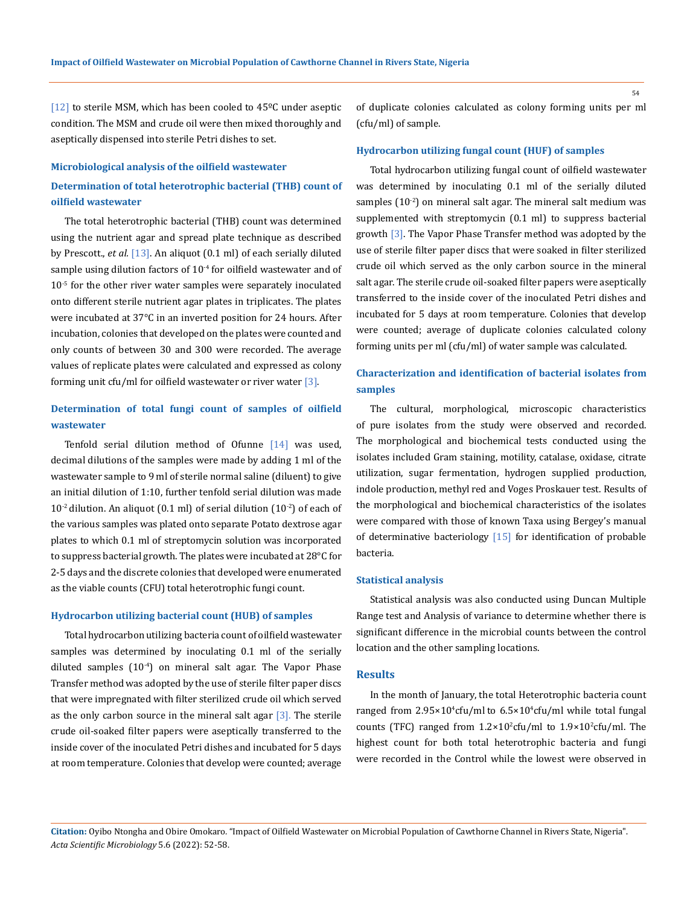[12] to sterile MSM, which has been cooled to 45ºC under aseptic condition. The MSM and crude oil were then mixed thoroughly and aseptically dispensed into sterile Petri dishes to set.

#### **Microbiological analysis of the oilfield wastewater**

# **Determination of total heterotrophic bacterial (THB) count of oilfield wastewater**

The total heterotrophic bacterial (THB) count was determined using the nutrient agar and spread plate technique as described by Prescott., *et al.* [13]. An aliquot (0.1 ml) of each serially diluted sample using dilution factors of 10<sup>-4</sup> for oilfield wastewater and of 10-5 for the other river water samples were separately inoculated onto different sterile nutrient agar plates in triplicates. The plates were incubated at 37°C in an inverted position for 24 hours. After incubation, colonies that developed on the plates were counted and only counts of between 30 and 300 were recorded. The average values of replicate plates were calculated and expressed as colony forming unit cfu/ml for oilfield wastewater or river water [3].

# **Determination of total fungi count of samples of oilfield wastewater**

Tenfold serial dilution method of Ofunne  $[14]$  was used, decimal dilutions of the samples were made by adding 1 ml of the wastewater sample to 9 ml of sterile normal saline (diluent) to give an initial dilution of 1:10, further tenfold serial dilution was made  $10^{-2}$  dilution. An aliquot (0.1 ml) of serial dilution (10<sup>-2</sup>) of each of the various samples was plated onto separate Potato dextrose agar plates to which 0.1 ml of streptomycin solution was incorporated to suppress bacterial growth. The plates were incubated at 28°C for 2-5 days and the discrete colonies that developed were enumerated as the viable counts (CFU) total heterotrophic fungi count.

### **Hydrocarbon utilizing bacterial count (HUB) of samples**

Total hydrocarbon utilizing bacteria count of oilfield wastewater samples was determined by inoculating 0.1 ml of the serially diluted samples  $(10<sup>-4</sup>)$  on mineral salt agar. The Vapor Phase Transfer method was adopted by the use of sterile filter paper discs that were impregnated with filter sterilized crude oil which served as the only carbon source in the mineral salt agar  $\lceil 3 \rceil$ . The sterile crude oil-soaked filter papers were aseptically transferred to the inside cover of the inoculated Petri dishes and incubated for 5 days at room temperature. Colonies that develop were counted; average of duplicate colonies calculated as colony forming units per ml (cfu/ml) of sample.

### **Hydrocarbon utilizing fungal count (HUF) of samples**

Total hydrocarbon utilizing fungal count of oilfield wastewater was determined by inoculating 0.1 ml of the serially diluted samples  $(10^{-2})$  on mineral salt agar. The mineral salt medium was supplemented with streptomycin (0.1 ml) to suppress bacterial growth [3]. The Vapor Phase Transfer method was adopted by the use of sterile filter paper discs that were soaked in filter sterilized crude oil which served as the only carbon source in the mineral salt agar. The sterile crude oil-soaked filter papers were aseptically transferred to the inside cover of the inoculated Petri dishes and incubated for 5 days at room temperature. Colonies that develop were counted; average of duplicate colonies calculated colony forming units per ml (cfu/ml) of water sample was calculated.

# **Characterization and identification of bacterial isolates from samples**

The cultural, morphological, microscopic characteristics of pure isolates from the study were observed and recorded. The morphological and biochemical tests conducted using the isolates included Gram staining, motility, catalase, oxidase, citrate utilization, sugar fermentation, hydrogen supplied production, indole production, methyl red and Voges Proskauer test. Results of the morphological and biochemical characteristics of the isolates were compared with those of known Taxa using Bergey's manual of determinative bacteriology  $[15]$  for identification of probable bacteria.

#### **Statistical analysis**

Statistical analysis was also conducted using Duncan Multiple Range test and Analysis of variance to determine whether there is significant difference in the microbial counts between the control location and the other sampling locations.

### **Results**

In the month of January, the total Heterotrophic bacteria count ranged from 2.95×10<sup>4</sup>cfu/ml to 6.5×10<sup>4</sup>cfu/ml while total fungal counts (TFC) ranged from  $1.2 \times 10^2$ cfu/ml to  $1.9 \times 10^2$ cfu/ml. The highest count for both total heterotrophic bacteria and fungi were recorded in the Control while the lowest were observed in

**Citation:** Oyibo Ntongha and Obire Omokaro*.* "Impact of Oilfield Wastewater on Microbial Population of Cawthorne Channel in Rivers State, Nigeria". *Acta Scientific Microbiology* 5.6 (2022): 52-58.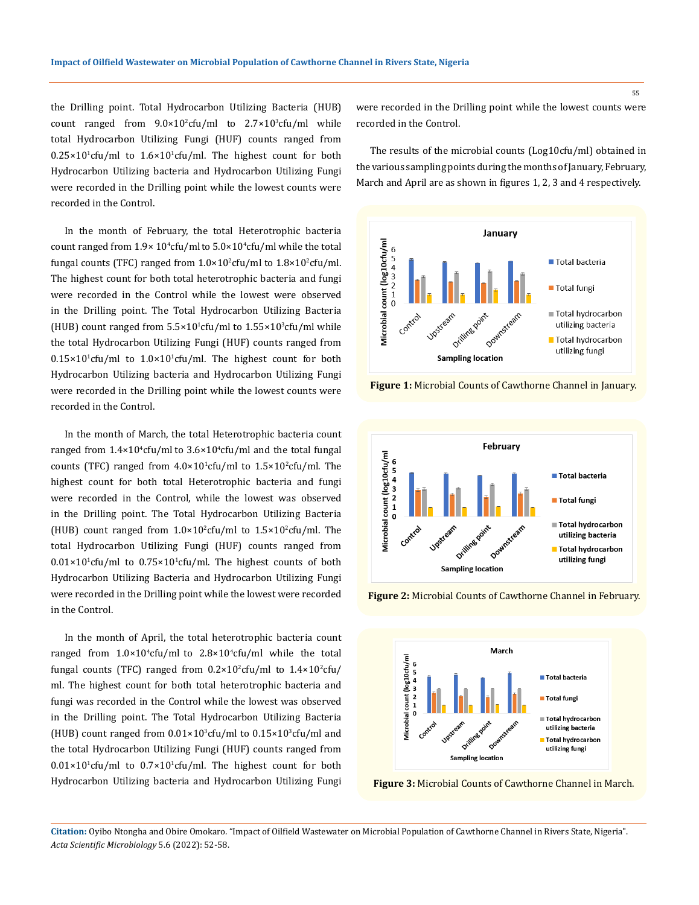the Drilling point. Total Hydrocarbon Utilizing Bacteria (HUB) count ranged from  $9.0 \times 10^2$ cfu/ml to  $2.7 \times 10^3$ cfu/ml while total Hydrocarbon Utilizing Fungi (HUF) counts ranged from  $0.25 \times 10^{1}$ cfu/ml to  $1.6 \times 10^{1}$ cfu/ml. The highest count for both Hydrocarbon Utilizing bacteria and Hydrocarbon Utilizing Fungi were recorded in the Drilling point while the lowest counts were recorded in the Control.

In the month of February, the total Heterotrophic bacteria count ranged from  $1.9 \times 10^4$ cfu/ml to  $5.0 \times 10^4$ cfu/ml while the total fungal counts (TFC) ranged from 1.0×10<sup>2</sup>cfu/ml to 1.8×10<sup>2</sup>cfu/ml. The highest count for both total heterotrophic bacteria and fungi were recorded in the Control while the lowest were observed in the Drilling point. The Total Hydrocarbon Utilizing Bacteria (HUB) count ranged from  $5.5 \times 10^{1}$ cfu/ml to  $1.55 \times 10^{3}$ cfu/ml while the total Hydrocarbon Utilizing Fungi (HUF) counts ranged from  $0.15\times10^{1}$ cfu/ml to  $1.0\times10^{1}$ cfu/ml. The highest count for both Hydrocarbon Utilizing bacteria and Hydrocarbon Utilizing Fungi were recorded in the Drilling point while the lowest counts were recorded in the Control.

In the month of March, the total Heterotrophic bacteria count ranged from 1.4×10<sup>4</sup>cfu/ml to 3.6×10<sup>4</sup>cfu/ml and the total fungal counts (TFC) ranged from  $4.0\times10^{1}$ cfu/ml to  $1.5\times10^{2}$ cfu/ml. The highest count for both total Heterotrophic bacteria and fungi were recorded in the Control, while the lowest was observed in the Drilling point. The Total Hydrocarbon Utilizing Bacteria (HUB) count ranged from  $1.0 \times 10^{2}$ cfu/ml to  $1.5 \times 10^{2}$ cfu/ml. The total Hydrocarbon Utilizing Fungi (HUF) counts ranged from  $0.01 \times 10^{1}$ cfu/ml to  $0.75 \times 10^{1}$ cfu/ml. The highest counts of both Hydrocarbon Utilizing Bacteria and Hydrocarbon Utilizing Fungi were recorded in the Drilling point while the lowest were recorded in the Control.

In the month of April, the total heterotrophic bacteria count ranged from  $1.0 \times 10^4$ cfu/ml to  $2.8 \times 10^4$ cfu/ml while the total fungal counts (TFC) ranged from  $0.2 \times 10^2$ cfu/ml to  $1.4 \times 10^2$ cfu/ ml. The highest count for both total heterotrophic bacteria and fungi was recorded in the Control while the lowest was observed in the Drilling point. The Total Hydrocarbon Utilizing Bacteria (HUB) count ranged from  $0.01 \times 10^3$ cfu/ml to  $0.15 \times 10^3$ cfu/ml and the total Hydrocarbon Utilizing Fungi (HUF) counts ranged from  $0.01 \times 10^{1}$ cfu/ml to  $0.7 \times 10^{1}$ cfu/ml. The highest count for both Hydrocarbon Utilizing bacteria and Hydrocarbon Utilizing Fungi

were recorded in the Drilling point while the lowest counts were recorded in the Control.

The results of the microbial counts (Log10cfu/ml) obtained in the various sampling points during the months of January, February, March and April are as shown in figures 1, 2, 3 and 4 respectively.



**Figure 1:** Microbial Counts of Cawthorne Channel in January.



**Figure 2:** Microbial Counts of Cawthorne Channel in February.



**Figure 3:** Microbial Counts of Cawthorne Channel in March.

**Citation:** Oyibo Ntongha and Obire Omokaro*.* "Impact of Oilfield Wastewater on Microbial Population of Cawthorne Channel in Rivers State, Nigeria". *Acta Scientific Microbiology* 5.6 (2022): 52-58.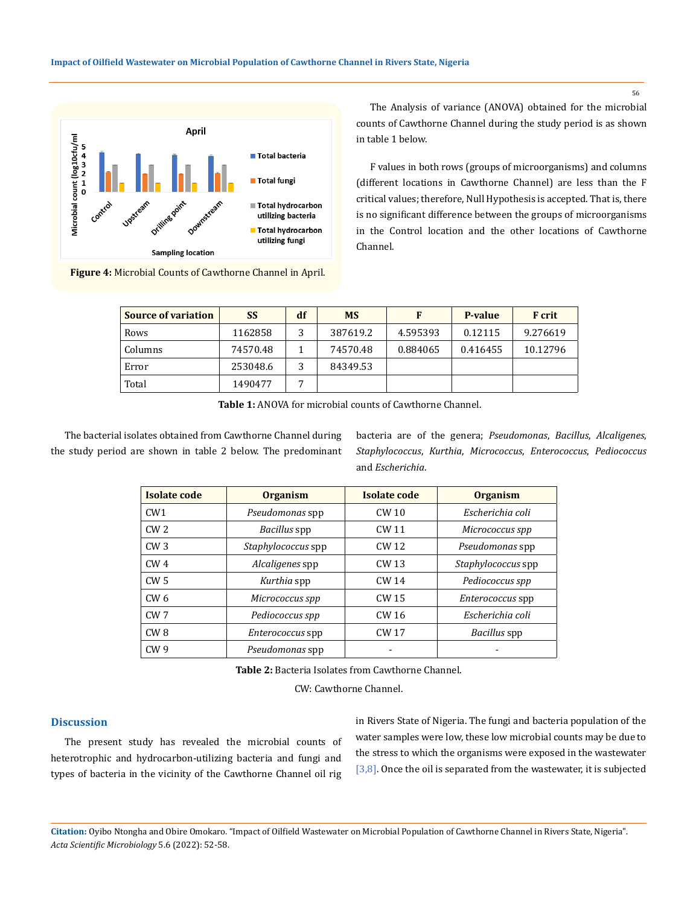

**Figure 4:** Microbial Counts of Cawthorne Channel in April.

The Analysis of variance (ANOVA) obtained for the microbial counts of Cawthorne Channel during the study period is as shown in table 1 below.

F values in both rows (groups of microorganisms) and columns (different locations in Cawthorne Channel) are less than the F critical values; therefore, Null Hypothesis is accepted. That is, there is no significant difference between the groups of microorganisms in the Control location and the other locations of Cawthorne Channel.

| <b>Source of variation</b> | <b>SS</b> | df | <b>MS</b> | F        | P-value  | <b>F</b> crit |
|----------------------------|-----------|----|-----------|----------|----------|---------------|
| Rows                       | 1162858   |    | 387619.2  | 4.595393 | 0.12115  | 9.276619      |
| Columns                    | 74570.48  |    | 74570.48  | 0.884065 | 0.416455 | 10.12796      |
| Error                      | 253048.6  |    | 84349.53  |          |          |               |
| Total                      | 1490477   | 7  |           |          |          |               |

**Table 1:** ANOVA for microbial counts of Cawthorne Channel.

The bacterial isolates obtained from Cawthorne Channel during the study period are shown in table 2 below. The predominant bacteria are of the genera; *Pseudomonas*, *Bacillus*, *Alcaligenes*, *Staphylococcus*, *Kurthia*, *Micrococcus*, *Enterococcus*, *Pediococcus* and *Escherichia*.

| Isolate code    | <b>Organism</b>         | Isolate code     | <b>Organism</b>           |  |
|-----------------|-------------------------|------------------|---------------------------|--|
| CW1             | Pseudomonas spp         | CW <sub>10</sub> | Escherichia coli          |  |
| CW <sub>2</sub> | Bacillus spp            | CW 11            | Micrococcus spp           |  |
| CW3             | Staphylococcus spp      | CW 12            | Pseudomonas spp           |  |
| CW <sub>4</sub> | Alcaligenes spp         | CW 13            | <i>Staphylococcus</i> spp |  |
| CW <sub>5</sub> | Kurthia spp             | CW 14            | Pediococcus spp           |  |
| CW <sub>6</sub> | Micrococcus spp         | CW 15            | Enterococcus spp          |  |
| CW <sub>7</sub> | Pediococcus spp         | CW 16            | Escherichia coli          |  |
| CW8             | <i>Enterococcus</i> spp | CW 17            | Bacillus spp              |  |
| CW <sub>9</sub> | Pseudomonas spp         |                  |                           |  |

**Table 2:** Bacteria Isolates from Cawthorne Channel.

CW: Cawthorne Channel.

# **Discussion**

The present study has revealed the microbial counts of heterotrophic and hydrocarbon-utilizing bacteria and fungi and types of bacteria in the vicinity of the Cawthorne Channel oil rig in Rivers State of Nigeria. The fungi and bacteria population of the water samples were low, these low microbial counts may be due to the stress to which the organisms were exposed in the wastewater  $[3,8]$ . Once the oil is separated from the wastewater, it is subjected

**Citation:** Oyibo Ntongha and Obire Omokaro*.* "Impact of Oilfield Wastewater on Microbial Population of Cawthorne Channel in Rivers State, Nigeria". *Acta Scientific Microbiology* 5.6 (2022): 52-58.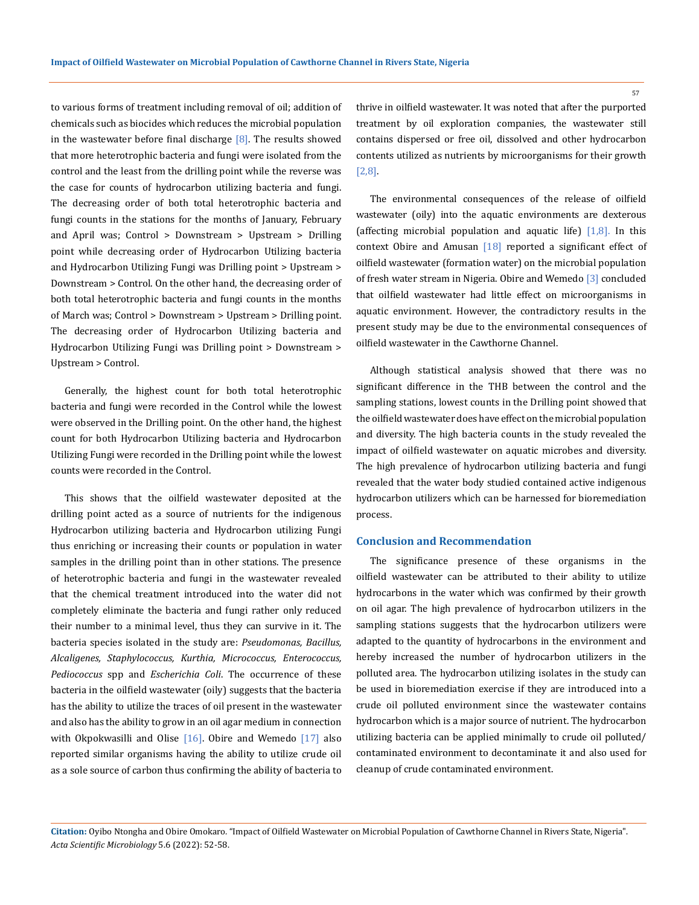to various forms of treatment including removal of oil; addition of chemicals such as biocides which reduces the microbial population in the wastewater before final discharge  $[8]$ . The results showed that more heterotrophic bacteria and fungi were isolated from the control and the least from the drilling point while the reverse was the case for counts of hydrocarbon utilizing bacteria and fungi. The decreasing order of both total heterotrophic bacteria and fungi counts in the stations for the months of January, February and April was; Control > Downstream > Upstream > Drilling point while decreasing order of Hydrocarbon Utilizing bacteria and Hydrocarbon Utilizing Fungi was Drilling point > Upstream > Downstream > Control. On the other hand, the decreasing order of both total heterotrophic bacteria and fungi counts in the months of March was; Control > Downstream > Upstream > Drilling point. The decreasing order of Hydrocarbon Utilizing bacteria and Hydrocarbon Utilizing Fungi was Drilling point > Downstream > Upstream > Control.

Generally, the highest count for both total heterotrophic bacteria and fungi were recorded in the Control while the lowest were observed in the Drilling point. On the other hand, the highest count for both Hydrocarbon Utilizing bacteria and Hydrocarbon Utilizing Fungi were recorded in the Drilling point while the lowest counts were recorded in the Control.

This shows that the oilfield wastewater deposited at the drilling point acted as a source of nutrients for the indigenous Hydrocarbon utilizing bacteria and Hydrocarbon utilizing Fungi thus enriching or increasing their counts or population in water samples in the drilling point than in other stations. The presence of heterotrophic bacteria and fungi in the wastewater revealed that the chemical treatment introduced into the water did not completely eliminate the bacteria and fungi rather only reduced their number to a minimal level, thus they can survive in it. The bacteria species isolated in the study are: *Pseudomonas, Bacillus, Alcaligenes, Staphylococcus, Kurthia, Micrococcus, Enterococcus, Pediococcus* spp and *Escherichia Coli*. The occurrence of these bacteria in the oilfield wastewater (oily) suggests that the bacteria has the ability to utilize the traces of oil present in the wastewater and also has the ability to grow in an oil agar medium in connection with Okpokwasilli and Olise  $[16]$ . Obire and Wemedo  $[17]$  also reported similar organisms having the ability to utilize crude oil as a sole source of carbon thus confirming the ability of bacteria to thrive in oilfield wastewater. It was noted that after the purported treatment by oil exploration companies, the wastewater still contains dispersed or free oil, dissolved and other hydrocarbon contents utilized as nutrients by microorganisms for their growth [2,8].

The environmental consequences of the release of oilfield wastewater (oily) into the aquatic environments are dexterous (affecting microbial population and aquatic life)  $[1,8]$ . In this context Obire and Amusan [18] reported a significant effect of oilfield wastewater (formation water) on the microbial population of fresh water stream in Nigeria. Obire and Wemedo [3] concluded that oilfield wastewater had little effect on microorganisms in aquatic environment. However, the contradictory results in the present study may be due to the environmental consequences of oilfield wastewater in the Cawthorne Channel.

Although statistical analysis showed that there was no significant difference in the THB between the control and the sampling stations, lowest counts in the Drilling point showed that the oilfield wastewater does have effect on the microbial population and diversity. The high bacteria counts in the study revealed the impact of oilfield wastewater on aquatic microbes and diversity. The high prevalence of hydrocarbon utilizing bacteria and fungi revealed that the water body studied contained active indigenous hydrocarbon utilizers which can be harnessed for bioremediation process.

### **Conclusion and Recommendation**

The significance presence of these organisms in the oilfield wastewater can be attributed to their ability to utilize hydrocarbons in the water which was confirmed by their growth on oil agar. The high prevalence of hydrocarbon utilizers in the sampling stations suggests that the hydrocarbon utilizers were adapted to the quantity of hydrocarbons in the environment and hereby increased the number of hydrocarbon utilizers in the polluted area. The hydrocarbon utilizing isolates in the study can be used in bioremediation exercise if they are introduced into a crude oil polluted environment since the wastewater contains hydrocarbon which is a major source of nutrient. The hydrocarbon utilizing bacteria can be applied minimally to crude oil polluted/ contaminated environment to decontaminate it and also used for cleanup of crude contaminated environment.

**Citation:** Oyibo Ntongha and Obire Omokaro*.* "Impact of Oilfield Wastewater on Microbial Population of Cawthorne Channel in Rivers State, Nigeria". *Acta Scientific Microbiology* 5.6 (2022): 52-58.